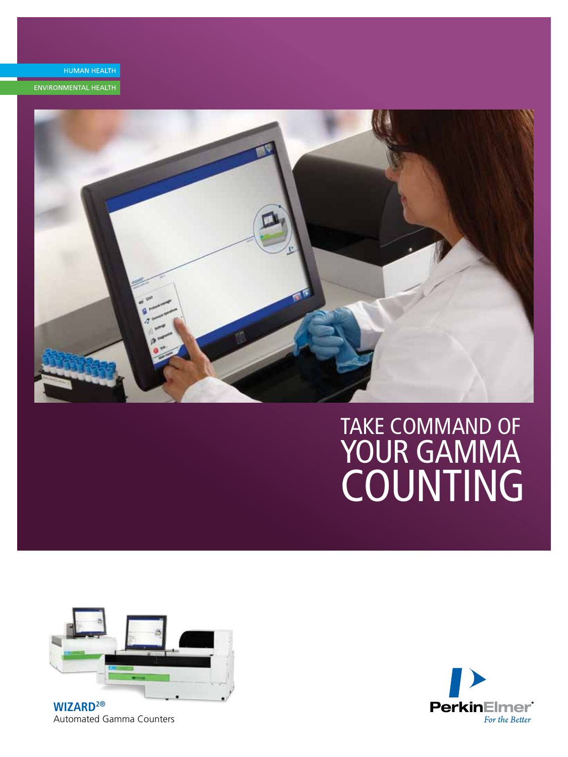

ENVIRONMENTAL HEALTH



# Take Command of Your gamma **COUNTING**



**WIZARD2®** Automated Gamma Counters

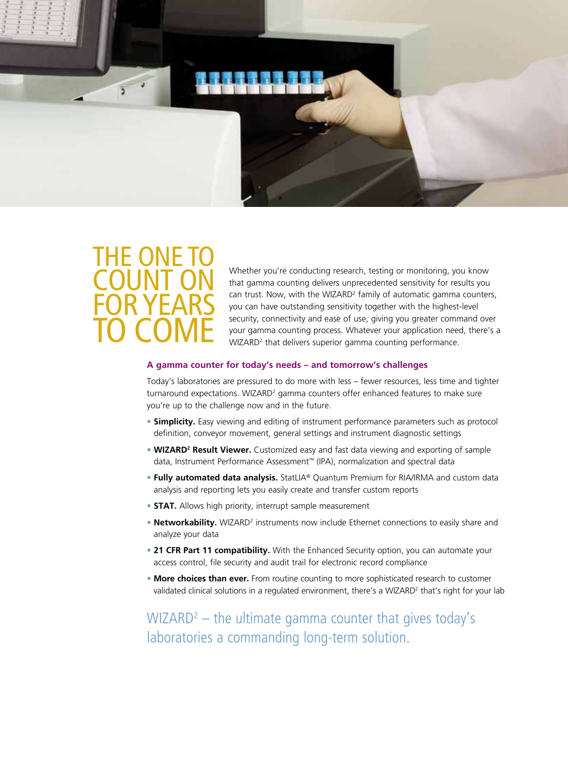

## THE ONE T Count On For Years TO COME

Whether you're conducting research, testing or monitoring, you know that gamma counting delivers unprecedented sensitivity for results you can trust. Now, with the WIZARD<sup>2</sup> family of automatic gamma counters, you can have outstanding sensitivity together with the highest-level security, connectivity and ease of use, giving you greater command over your gamma counting process. Whatever your application need, there's a WIZARD<sup>2</sup> that delivers superior gamma counting performance.

#### **A gamma counter for today's needs – and tomorrow's challenges**

Today's laboratories are pressured to do more with less – fewer resources, less time and tighter turnaround expectations. WIZARD<sup>2</sup> gamma counters offer enhanced features to make sure you're up to the challenge now and in the future.

- **Simplicity.** Easy viewing and editing of instrument performance parameters such as protocol definition, conveyor movement, general settings and instrument diagnostic settings
- **WIZARD<sup>2</sup> Result Viewer.** Customized easy and fast data viewing and exporting of sample data, Instrument Performance Assessment™ (IPA), normalization and spectral data
- **Fully automated data analysis.** StatLIA® Quantum Premium for RIA/IRMA and custom data analysis and reporting lets you easily create and transfer custom reports
- **STAT.** Allows high priority, interrupt sample measurement
- **Networkability.** WIZARD<sup>2</sup> instruments now include Ethernet connections to easily share and analyze your data
- **21 CFR Part 11 compatibility.** With the Enhanced Security option, you can automate your access control, file security and audit trail for electronic record compliance
- **More choices than ever.** From routine counting to more sophisticated research to customer validated clinical solutions in a regulated environment, there's a WIZARD<sup>2</sup> that's right for your lab

 $WIZARD<sup>2</sup>$  – the ultimate gamma counter that gives today's laboratories a commanding long-term solution.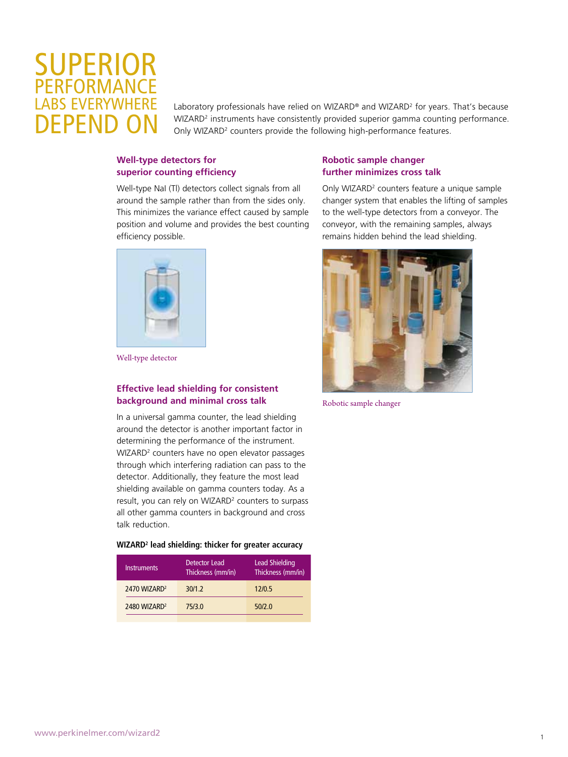### **SUPERIOR** Performance **BS EVERYWHER** FPFND

Laboratory professionals have relied on WIZARD® and WIZARD<sup>2</sup> for years. That's because WIZARD<sup>2</sup> instruments have consistently provided superior gamma counting performance. Only WIZARD<sup>2</sup> counters provide the following high-performance features.

#### **Well-type detectors for superior counting efficiency**

Well-type NaI (Tl) detectors collect signals from all around the sample rather than from the sides only. This minimizes the variance effect caused by sample position and volume and provides the best counting efficiency possible.



Well-type detector

#### **Effective lead shielding for consistent background and minimal cross talk**

In a universal gamma counter, the lead shielding around the detector is another important factor in determining the performance of the instrument. WIZARD<sup>2</sup> counters have no open elevator passages through which interfering radiation can pass to the detector. Additionally, they feature the most lead shielding available on gamma counters today. As a result, you can rely on WIZARD<sup>2</sup> counters to surpass all other gamma counters in background and cross talk reduction.

#### **WIZARD2 lead shielding: thicker for greater accuracy**

| <b>Instruments</b>       | Detector Lead<br>Thickness (mm/in) | Lead Shielding<br>Thickness (mm/in) |
|--------------------------|------------------------------------|-------------------------------------|
| 2470 WIZARD <sup>2</sup> | 30/1.2                             | 12/0.5                              |
| 2480 WIZARD <sup>2</sup> | 75/3.0                             | 50/2.0                              |
|                          |                                    |                                     |

#### **Robotic sample changer further minimizes cross talk**

Only WIZARD<sup>2</sup> counters feature a unique sample changer system that enables the lifting of samples to the well-type detectors from a conveyor. The conveyor, with the remaining samples, always remains hidden behind the lead shielding.



Robotic sample changer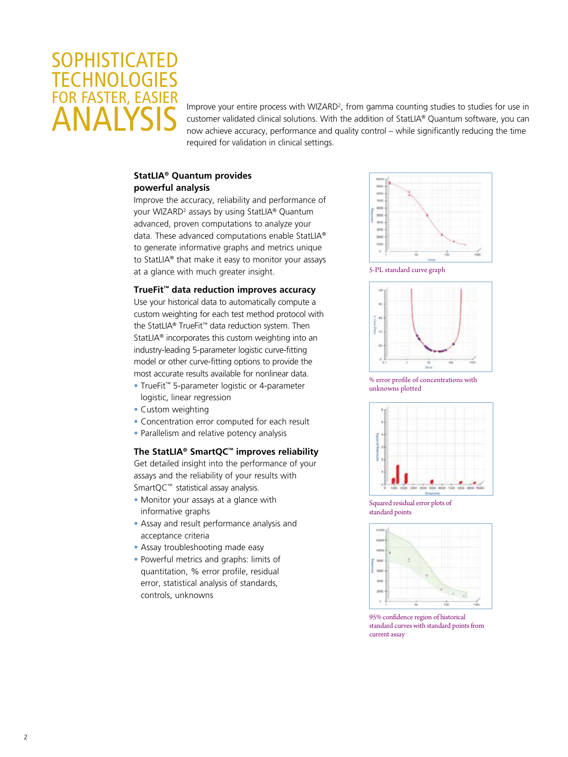### **SOPHISTICATED TECHNOLOGIES FOR FASTER, EASIE** Analysis

Improve your entire process with WIZARD<sup>2</sup>, from gamma counting studies to studies for use in customer validated clinical solutions. With the addition of StatLIA® Quantum software, you can now achieve accuracy, performance and quality control – while significantly reducing the time required for validation in clinical settings.

#### **StatLIA® Quantum provides powerful analysis**

Improve the accuracy, reliability and performance of your WIZARD<sup>2</sup> assays by using StatLIA® Quantum advanced, proven computations to analyze your data. These advanced computations enable StatLIA® to generate informative graphs and metrics unique to StatLIA® that make it easy to monitor your assays at a glance with much greater insight.

#### **TrueFit™ data reduction improves accuracy**

Use your historical data to automatically compute a custom weighting for each test method protocol with the StatLIA® TrueFit™ data reduction system. Then StatLIA® incorporates this custom weighting into an industry-leading 5-parameter logistic curve-fitting model or other curve-fitting options to provide the most accurate results available for nonlinear data.

- TrueFit™ 5-parameter logistic or 4-parameter logistic, linear regression
- Custom weighting
- Concentration error computed for each result
- Parallelism and relative potency analysis

#### **The StatLIA® SmartQC™ improves reliability**

Get detailed insight into the performance of your assays and the reliability of your results with SmartQC™ statistical assay analysis.

- Monitor your assays at a glance with informative graphs
- Assay and result performance analysis and acceptance criteria
- Assay troubleshooting made easy
- Powerful metrics and graphs: limits of quantitation, % error profile, residual error, statistical analysis of standards, controls, unknowns



5-PL standard curve graph



% error profile of concentrations with unknowns plotted



Squared residual error plots of standard points



95% confidence region of historical standard curves with standard points from current assay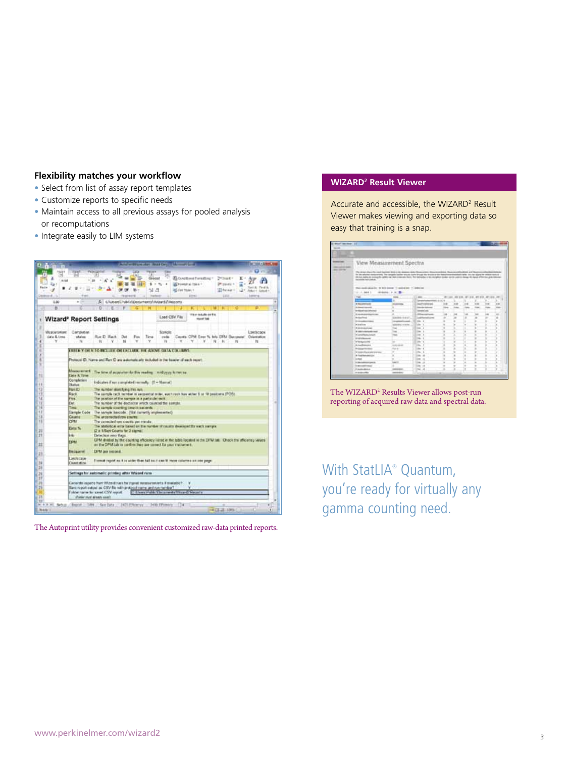#### **Flexibility matches your workflow**

- Select from list of assay report templates
- Customize reports to specific needs
- Maintain access to all previous assays for pooled analysis or recomputations
- Integrate easily to LIM systems



The Autoprint utility provides convenient customized raw-data printed reports.

#### **WIZARD2 Result Viewer**

Accurate and accessible, the WIZARD<sup>2</sup> Result Viewer makes viewing and exporting data so easy that training is a snap.



The WIZARD<sup>2</sup> Results Viewer allows post-run reporting of acquired raw data and spectral data.

With StatLIA® Quantum, you're ready for virtually any gamma counting need.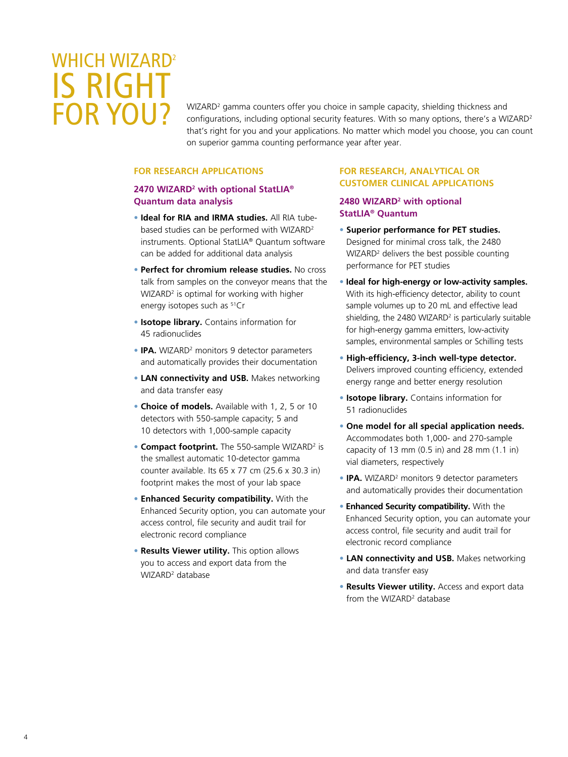# WHICH WIZARD<sup>2</sup> Is Right for You?

WIZARD<sup>2</sup> gamma counters offer you choice in sample capacity, shielding thickness and configurations, including optional security features. With so many options, there's a WIZARD<sup>2</sup> that's right for you and your applications. No matter which model you choose, you can count on superior gamma counting performance year after year.

#### **For research applications**

#### **2470 WIZARD2 with optional StatLIA® Quantum data analysis**

- **Ideal for RIA and IRMA studies.** All RIA tubebased studies can be performed with WIZARD<sup>2</sup> instruments. Optional StatLIA® Quantum software can be added for additional data analysis
- **Perfect for chromium release studies.** No cross talk from samples on the conveyor means that the WIZARD<sup>2</sup> is optimal for working with higher energy isotopes such as <sup>51</sup>Cr
- **Isotope library.** Contains information for 45 radionuclides
- **IPA.** WIZARD<sup>2</sup> monitors 9 detector parameters and automatically provides their documentation
- **LAN connectivity and USB.** Makes networking and data transfer easy
- **Choice of models.** Available with 1, 2, 5 or 10 detectors with 550-sample capacity; 5 and 10 detectors with 1,000-sample capacity
- **Compact footprint.** The 550-sample WIZARD<sup>2</sup> is the smallest automatic 10-detector gamma counter available. Its 65 x 77 cm (25.6 x 30.3 in) footprint makes the most of your lab space
- **Enhanced Security compatibility.** With the Enhanced Security option, you can automate your access control, file security and audit trail for electronic record compliance
- **Results Viewer utility.** This option allows you to access and export data from the WIZARD<sup>2</sup> database

#### **For Research, Analytical or Customer Clinical Applications**

#### **2480 WIZARD2 with optional StatLIA® Quantum**

- **Superior performance for PET studies.**  Designed for minimal cross talk, the 2480 WIZARD<sup>2</sup> delivers the best possible counting performance for PET studies
- **Ideal for high-energy or low-activity samples.**  With its high-efficiency detector, ability to count sample volumes up to 20 mL and effective lead shielding, the 2480 WIZARD<sup>2</sup> is particularly suitable for high-energy gamma emitters, low-activity samples, environmental samples or Schilling tests
- • **High-efficiency, 3-inch well-type detector.** Delivers improved counting efficiency, extended energy range and better energy resolution
- **Isotope library.** Contains information for 51 radionuclides
- **One model for all special application needs.**  Accommodates both 1,000- and 270-sample capacity of 13 mm  $(0.5 \text{ in})$  and 28 mm  $(1.1 \text{ in})$ vial diameters, respectively
- **IPA.** WIZARD<sup>2</sup> monitors 9 detector parameters and automatically provides their documentation
- **Enhanced Security compatibility.** With the Enhanced Security option, you can automate your access control, file security and audit trail for electronic record compliance
- **LAN connectivity and USB.** Makes networking and data transfer easy
- **Results Viewer utility.** Access and export data from the WIZARD<sup>2</sup> database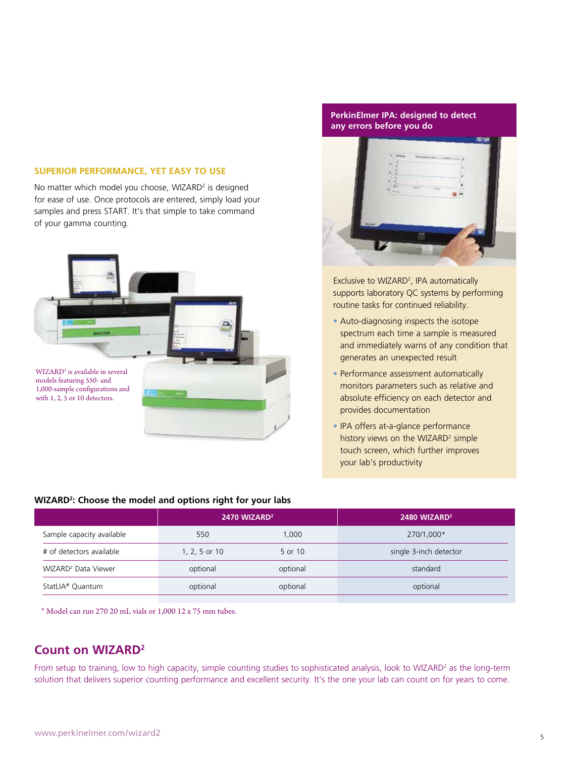#### **SUPERIOR PERFORMANCE, YET EASY TO USE**

No matter which model you choose, WIZARD<sup>2</sup> is designed for ease of use. Once protocols are entered, simply load your samples and press START. It's that simple to take command of your gamma counting.



#### **PerkinElmer IPA: designed to detect any errors before you do**



Exclusive to WIZARD<sup>2</sup>, IPA automatically supports laboratory QC systems by performing routine tasks for continued reliability.

- Auto-diagnosing inspects the isotope spectrum each time a sample is measured and immediately warns of any condition that generates an unexpected result
- Performance assessment automatically monitors parameters such as relative and absolute efficiency on each detector and provides documentation
- IPA offers at-a-glance performance history views on the WIZARD<sup>2</sup> simple touch screen, which further improves your lab's productivity

| WIZARD <sup>2</sup> : Choose the model and options right for your labs |                          |          |                          |  |
|------------------------------------------------------------------------|--------------------------|----------|--------------------------|--|
|                                                                        | 2470 WIZARD <sup>2</sup> |          | 2480 WIZARD <sup>2</sup> |  |
| Sample capacity available                                              | 550                      | 1.000    | 270/1,000*               |  |
| # of detectors available                                               | 1, 2, 5 or 10            | 5 or 10  | single 3-inch detector   |  |
| WIZARD <sup>2</sup> Data Viewer                                        | optional                 | optional | standard                 |  |
| StatLIA <sup>®</sup> Quantum                                           | optional                 | optional | optional                 |  |

\* Model can run 270 20 mL vials or 1,000 12 x 75 mm tubes.

#### **Count on WIZARD2**

From setup to training, low to high capacity, simple counting studies to sophisticated analysis, look to WIZARD<sup>2</sup> as the long-term solution that delivers superior counting performance and excellent security. It's the one your lab can count on for years to come.